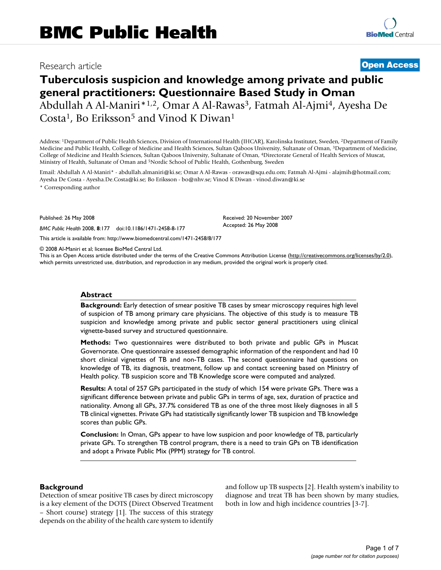## Research article **[Open Access](http://www.biomedcentral.com/info/about/charter/)**

# **Tuberculosis suspicion and knowledge among private and public general practitioners: Questionnaire Based Study in Oman** Abdullah A Al-Maniri\*<sup>1,2</sup>, Omar A Al-Rawas<sup>3</sup>, Fatmah Al-Ajmi<sup>4</sup>, Ayesha De

Costa<sup>1</sup>, Bo Eriksson<sup>5</sup> and Vinod K Diwan<sup>1</sup>

Address: 1Department of Public Health Sciences, Division of International Health (IHCAR), Karolinska Institutet, Sweden, 2Department of Family Medicine and Public Health, College of Medicine and Health Sciences, Sultan Qaboos University, Sultanate of Oman, 3Department of Medicine, College of Medicine and Health Sciences, Sultan Qaboos University, Sultanate of Oman, 4Directorate General of Health Services of Muscat, Ministry of Health, Sultanate of Oman and 5Nordic School of Public Health, Gothenburg, Sweden

Email: Abdullah A Al-Maniri\* - abdullah.almaniri@ki.se; Omar A Al-Rawas - orawas@squ.edu.om; Fatmah Al-Ajmi - alajmih@hotmail.com; Ayesha De Costa - Ayesha.De.Costa@ki.se; Bo Eriksson - bo@nhv.se; Vinod K Diwan - vinod.diwan@ki.se

\* Corresponding author

Published: 26 May 2008

*BMC Public Health* 2008, **8**:177 doi:10.1186/1471-2458-8-177

[This article is available from: http://www.biomedcentral.com/1471-2458/8/177](http://www.biomedcentral.com/1471-2458/8/177)

© 2008 Al-Maniri et al; licensee BioMed Central Ltd.

This is an Open Access article distributed under the terms of the Creative Commons Attribution License [\(http://creativecommons.org/licenses/by/2.0\)](http://creativecommons.org/licenses/by/2.0), which permits unrestricted use, distribution, and reproduction in any medium, provided the original work is properly cited.

Received: 20 November 2007 Accepted: 26 May 2008

#### **Abstract**

**Background:** Early detection of smear positive TB cases by smear microscopy requires high level of suspicion of TB among primary care physicians. The objective of this study is to measure TB suspicion and knowledge among private and public sector general practitioners using clinical vignette-based survey and structured questionnaire.

**Methods:** Two questionnaires were distributed to both private and public GPs in Muscat Governorate. One questionnaire assessed demographic information of the respondent and had 10 short clinical vignettes of TB and non-TB cases. The second questionnaire had questions on knowledge of TB, its diagnosis, treatment, follow up and contact screening based on Ministry of Health policy. TB suspicion score and TB Knowledge score were computed and analyzed.

**Results:** A total of 257 GPs participated in the study of which 154 were private GPs. There was a significant difference between private and public GPs in terms of age, sex, duration of practice and nationality. Among all GPs, 37.7% considered TB as one of the three most likely diagnoses in all 5 TB clinical vignettes. Private GPs had statistically significantly lower TB suspicion and TB knowledge scores than public GPs.

**Conclusion:** In Oman, GPs appear to have low suspicion and poor knowledge of TB, particularly private GPs. To strengthen TB control program, there is a need to train GPs on TB identification and adopt a Private Public Mix (PPM) strategy for TB control.

#### **Background**

Detection of smear positive TB cases by direct microscopy is a key element of the DOTS (Direct Observed Treatment – Short course) strategy [1]. The success of this strategy depends on the ability of the health care system to identify and follow up TB suspects [2]. Health system's inability to diagnose and treat TB has been shown by many studies, both in low and high incidence countries [3-7].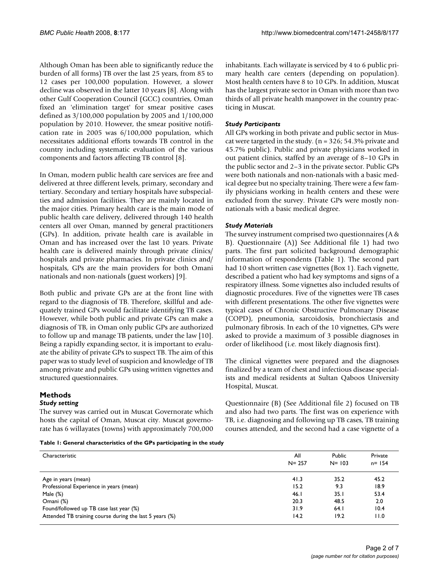Although Oman has been able to significantly reduce the burden of all forms) TB over the last 25 years, from 85 to 12 cases per 100,000 population. However, a slower decline was observed in the latter 10 years [8]. Along with other Gulf Cooperation Council (GCC) countries, Oman fixed an 'elimination target' for smear positive cases defined as 3/100,000 population by 2005 and 1/100,000 population by 2010. However, the smear positive notification rate in 2005 was 6/100,000 population, which necessitates additional efforts towards TB control in the country including systematic evaluation of the various components and factors affecting TB control [8].

In Oman, modern public health care services are free and delivered at three different levels, primary, secondary and tertiary. Secondary and tertiary hospitals have subspecialties and admission facilities. They are mainly located in the major cities. Primary health care is the main mode of public health care delivery, delivered through 140 health centers all over Oman, manned by general practitioners (GPs). In addition, private health care is available in Oman and has increased over the last 10 years. Private health care is delivered mainly through private clinics/ hospitals and private pharmacies. In private clinics and/ hospitals, GPs are the main providers for both Omani nationals and non-nationals (guest workers) [9].

Both public and private GPs are at the front line with regard to the diagnosis of TB. Therefore, skillful and adequately trained GPs would facilitate identifying TB cases. However, while both public and private GPs can make a diagnosis of TB, in Oman only public GPs are authorized to follow up and manage TB patients, under the law [10]. Being a rapidly expanding sector, it is important to evaluate the ability of private GPs to suspect TB. The aim of this paper was to study level of suspicion and knowledge of TB among private and public GPs using written vignettes and structured questionnaires.

#### **Methods**

#### *Study setting*

The survey was carried out in Muscat Governorate which hosts the capital of Oman, Muscat city. Muscat governorate has 6 willayates (towns) with approximately 700,000 inhabitants. Each willayate is serviced by 4 to 6 public primary health care centers (depending on population). Most health centers have 8 to 10 GPs. In addition, Muscat has the largest private sector in Oman with more than two thirds of all private health manpower in the country practicing in Muscat.

#### *Study Participants*

All GPs working in both private and public sector in Muscat were targeted in the study.  $(n = 326; 54.3\%)$  private and 45.7% public). Public and private physicians worked in out patient clinics, staffed by an average of 8–10 GPs in the public sector and 2–3 in the private sector. Public GPs were both nationals and non-nationals with a basic medical degree but no specialty training. There were a few family physicians working in health centers and these were excluded from the survey. Private GPs were mostly nonnationals with a basic medical degree.

#### *Study Materials*

The survey instrument comprised two questionnaires (A & B). Questionnaire (A)) See Additional file 1) had two parts. The first part solicited background demographic information of respondents (Table 1). The second part had 10 short written case vignettes (Box 1). Each vignette, described a patient who had key symptoms and signs of a respiratory illness. Some vignettes also included results of diagnostic procedures. Five of the vignettes were TB cases with different presentations. The other five vignettes were typical cases of Chronic Obstructive Pulmonary Disease (COPD), pneumonia, sarcoidosis, bronchiectasis and pulmonary fibrosis. In each of the 10 vignettes, GPs were asked to provide a maximum of 3 possible diagnoses in order of likelihood (i.e. most likely diagnosis first).

The clinical vignettes were prepared and the diagnoses finalized by a team of chest and infectious disease specialists and medical residents at Sultan Qaboos University Hospital, Muscat.

Questionnaire (B) (See Additional file 2) focused on TB and also had two parts. The first was on experience with TB, i.e. diagnosing and following up TB cases, TB training courses attended, and the second had a case vignette of a

**Table 1: General characteristics of the GPs participating in the study**

| Characteristic                                          | All<br>$N = 257$ | Public<br>$N = 103$ | Private<br>$n = 154$ |
|---------------------------------------------------------|------------------|---------------------|----------------------|
| Age in years (mean)                                     | 41.3             | 35.2                | 45.2                 |
| Professional Experience in years (mean)                 | 15.2             | 9.3                 | 18.9                 |
| Male $(\%)$                                             | 46.1             | 35.1                | 53.4                 |
| Omani (%)                                               | 20.3             | 48.5                | 2.0                  |
| Found/followed up TB case last year (%)                 | 31.9             | 64.1                | 10.4                 |
| Attended TB training course during the last 5 years (%) | 14.2             | 19.2                | 11.0                 |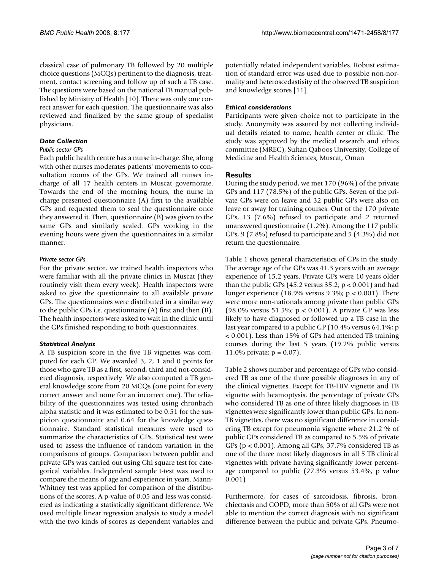classical case of pulmonary TB followed by 20 multiple choice questions (MCQs) pertinent to the diagnosis, treatment, contact screening and follow up of such a TB case. The questions were based on the national TB manual published by Ministry of Health [10]. There was only one correct answer for each question. The questionnaire was also reviewed and finalized by the same group of specialist physicians.

#### *Data Collection*

#### *Public sector GPs*

Each public health centre has a nurse in-charge. She, along with other nurses moderates patients' movements to consultation rooms of the GPs. We trained all nurses incharge of all 17 health centers in Muscat governorate. Towards the end of the morning hours, the nurse in charge presented questionnaire (A) first to the available GPs and requested them to seal the questionnaire once they answered it. Then, questionnaire (B) was given to the same GPs and similarly sealed. GPs working in the evening hours were given the questionnaires in a similar manner.

#### *Private sector GPs*

For the private sector, we trained health inspectors who were familiar with all the private clinics in Muscat (they routinely visit them every week). Health inspectors were asked to give the questionnaire to all available private GPs. The questionnaires were distributed in a similar way to the public GPs i.e. questionnaire (A) first and then (B). The health inspectors were asked to wait in the clinic until the GPs finished responding to both questionnaires.

#### *Statistical Analysis*

A TB suspicion score in the five TB vignettes was computed for each GP. We awarded 3, 2, 1 and 0 points for those who gave TB as a first, second, third and not-considered diagnosis, respectively. We also computed a TB general knowledge score from 20 MCQs (one point for every correct answer and none for an incorrect one). The reliability of the questionnaires was tested using chronbach alpha statistic and it was estimated to be 0.51 for the suspicion questionnaire and 0.64 for the knowledge questionnaire. Standard statistical measures were used to summarize the characteristics of GPs. Statistical test were used to assess the influence of random variation in the comparisons of groups. Comparison between public and private GPs was carried out using Chi square test for categorical variables. Independent sample t-test was used to compare the means of age and experience in years. Mann-Whitney test was applied for comparison of the distributions of the scores. A p-value of 0.05 and less was considered as indicating a statistically significant difference. We used multiple linear regression analysis to study a model with the two kinds of scores as dependent variables and

potentially related independent variables. Robust estimation of standard error was used due to possible non-normality and heteroscedastisity of the observed TB suspicion and knowledge scores [11].

#### *Ethical considerations*

Participants were given choice not to participate in the study. Anonymity was assured by not collecting individual details related to name, health center or clinic. The study was approved by the medical research and ethics committee (MREC), Sultan Qaboos University, College of Medicine and Health Sciences, Muscat, Oman

#### **Results**

During the study period, we met 170 (96%) of the private GPs and 117 (78.5%) of the public GPs. Seven of the private GPs were on leave and 32 public GPs were also on leave or away for training courses. Out of the 170 private GPs, 13 (7.6%) refused to participate and 2 returned unanswered questionnaire (1.2%). Among the 117 public GPs, 9 (7.8%) refused to participate and 5 (4.3%) did not return the questionnaire.

Table 1 shows general characteristics of GPs in the study. The average age of the GPs was 41.3 years with an average experience of 15.2 years. Private GPs were 10 years older than the public GPs (45.2 versus  $35.2$ ;  $p < 0.001$ ) and had longer experience (18.9% versus 9.3%;  $p < 0.001$ ). There were more non-nationals among private than public GPs (98.0% versus 51.5%; p < 0.001). A private GP was less likely to have diagnosed or followed up a TB case in the last year compared to a public GP (10.4% versus 64.1%; p < 0.001). Less than 15% of GPs had attended TB training courses during the last 5 years (19.2% public versus 11.0% private;  $p = 0.07$ ).

Table 2 shows number and percentage of GPs who considered TB as one of the three possible diagnoses in any of the clinical vignettes. Except for TB-HIV vignette and TB vignette with heamoptysis, the percentage of private GPs who considered TB as one of three likely diagnoses in TB vignettes were significantly lower than public GPs. In non-TB vignettes, there was no significant difference in considering TB except for pneumonia vignette where 21.2 % of public GPs considered TB as compared to 5.5% of private GPs (p < 0.001). Among all GPs, 37.7% considered TB as one of the three most likely diagnoses in all 5 TB clinical vignettes with private having significantly lower percentage compared to public (27.3% versus 53.4%, p value 0.001)

Furthermore, for cases of sarcoidosis, fibrosis, bronchiectasis and COPD, more than 50% of all GPs were not able to mention the correct diagnosis with no significant difference between the public and private GPs. Pneumo-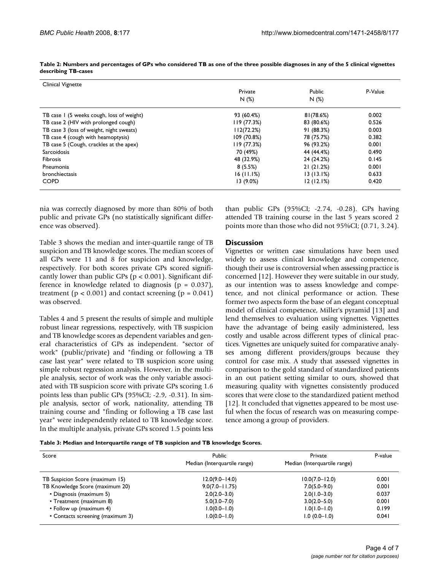| Clinical Vignette                         |             |            |         |
|-------------------------------------------|-------------|------------|---------|
|                                           | Private     | Public     | P-Value |
|                                           | N(%)        | N(%)       |         |
| TB case 1 (5 weeks cough, loss of weight) | 93 (60.4%)  | 81(78.6%)  | 0.002   |
| TB case 2 (HIV with prolonged cough)      | 119(77.3%)  | 83 (80.6%) | 0.526   |
| TB case 3 (loss of weight, night sweats)  | 112(72.2%)  | 91 (88.3%) | 0.003   |
| TB case 4 (cough with heamoptysis)        | 109 (70.8%) | 78 (75.7%) | 0.382   |
| TB case 5 (Cough, crackles at the apex)   | 119(77.3%)  | 96 (93.2%) | 0.001   |
| Sarcoidosis                               | 70 (49%)    | 44 (44.4%) | 0.490   |
| <b>Fibrosis</b>                           | 48 (32.9%)  | 24 (24.2%) | 0.145   |
| Pneumonia                                 | 8(5.5%)     | 21(21.2%)  | 0.001   |
| bronchiectasis                            | 16(11.1%)   | 13(13.1%)  | 0.633   |
| <b>COPD</b>                               | 13(9.0%)    | 12(12.1%)  | 0.420   |

**Table 2: Numbers and percentages of GPs who considered TB as one of the three possible diagnoses in any of the 5 clinical vignettes describing TB-cases**

nia was correctly diagnosed by more than 80% of both public and private GPs (no statistically significant difference was observed).

Table 3 shows the median and inter-quartile range of TB suspicion and TB knowledge scores. The median scores of all GPs were 11 and 8 for suspicion and knowledge, respectively. For both scores private GPs scored significantly lower than public GPs ( $p < 0.001$ ). Significant difference in knowledge related to diagnosis ( $p = 0.037$ ), treatment ( $p < 0.001$ ) and contact screening ( $p = 0.041$ ) was observed.

Tables 4 and 5 present the results of simple and multiple robust linear regressions, respectively, with TB suspicion and TB knowledge scores as dependent variables and general characteristics of GPs as independent. "sector of work" (public/private) and "finding or following a TB case last year" were related to TB suspicion score using simple robust regression analysis. However, in the multiple analysis, sector of work was the only variable associated with TB suspicion score with private GPs scoring 1.6 points less than public GPs (95%CI; -2.9, -0.31). In simple analysis, sector of work, nationality, attending TB training course and "finding or following a TB case last year" were independently related to TB knowledge score. In the multiple analysis, private GPs scored 1.5 points less than public GPs (95%CI; -2.74, -0.28). GPs having attended TB training course in the last 5 years scored 2 points more than those who did not 95%CI; (0.71, 3.24).

#### **Discussion**

Vignettes or written case simulations have been used widely to assess clinical knowledge and competence, though their use is controversial when assessing practice is concerned [12]. However they were suitable in our study, as our intention was to assess knowledge and competence, and not clinical performance or action. These former two aspects form the base of an elegant conceptual model of clinical competence, Miller's pyramid [13] and lend themselves to evaluation using vignettes. Vignettes have the advantage of being easily administered, less costly and usable across different types of clinical practices. Vignettes are uniquely suited for comparative analyses among different providers/groups because they control for case mix. A study that assessed vignettes in comparison to the gold standard of standardized patients in an out patient setting similar to ours, showed that measuring quality with vignettes consistently produced scores that were close to the standardized patient method [12]. It concluded that vignettes appeared to be most useful when the focus of research was on measuring competence among a group of providers.

**Table 3: Median and Interquartile range of TB suspicion and TB knowledge Scores.**

| Score                            | Public                       | Private                      | P-value |
|----------------------------------|------------------------------|------------------------------|---------|
|                                  | Median (Interquartile range) | Median (Interquartile range) |         |
| TB Suspicion Score (maximum 15)  | $12.0(9.0 - 14.0)$           | $10.0(7.0 - 12.0)$           | 0.001   |
| TB Knowledge Score (maximum 20)  | $9.0(7.0 - 11.75)$           | $7.0(5.0 - 9.0)$             | 0.001   |
| • Diagnosis (maximum 5)          | $2.0(2.0 - 3.0)$             | $2.0(1.0-3.0)$               | 0.037   |
| • Treatment (maximum 8)          | $5.0(3.0 - 7.0)$             | $3.0(2.0 - 5.0)$             | 0.001   |
| • Follow up (maximum 4)          | $1.0(0.0 - 1.0)$             | $1.0(1.0 - 1.0)$             | 0.199   |
| • Contacts screening (maximum 3) | $1.0(0.0 - 1.0)$             | $1.0(0.0 - 1.0)$             | 0.041   |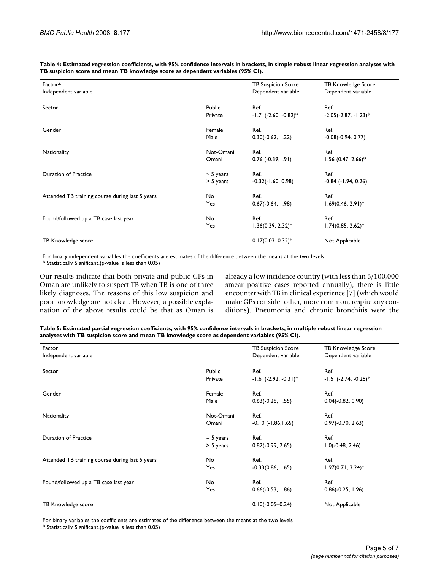| Factor4                                         |                | <b>TB Suspicion Score</b> | TB Knowledge Score               |
|-------------------------------------------------|----------------|---------------------------|----------------------------------|
| Independent variable                            |                | Dependent variable        | Dependent variable               |
| Sector                                          | Public         | Ref.                      | Ref.                             |
|                                                 | Private        | $-1.71(-2.60, -0.82)$ *   | $-2.05(-2.87, -1.23)$ *          |
| Gender                                          | Female         | Ref.                      | Ref.                             |
|                                                 | Male           | $0.30(-0.62, 1.22)$       | $-0.08(-0.94, 0.77)$             |
| Nationality                                     | Not-Omani      | Ref.                      | Ref.                             |
|                                                 | Omani          | $0.76(-0.39, 1.91)$       | $1.56$ (0.47, 2.66) <sup>*</sup> |
| <b>Duration of Practice</b>                     | $\leq$ 5 years | Ref.                      | Ref.                             |
|                                                 | $> 5$ years    | $-0.32(-1.60, 0.98)$      | $-0.84$ ( $-1.94$ , 0.26)        |
| Attended TB training course during last 5 years | No             | Ref.                      | Ref.                             |
|                                                 | Yes.           | $0.67(-0.64, 1.98)$       | $1.69(0.46, 2.91)^*$             |
| Found/followed up a TB case last year           | No             | Ref.                      | Ref.                             |
|                                                 | Yes            | $1.36(0.39, 2.32)^*$      | $1.74(0.85, 2.62)^*$             |
| TB Knowledge score                              |                | $0.17(0.03 - 0.32)^*$     | Not Applicable                   |

**Table 4: Estimated regression coefficients, with 95% confidence intervals in brackets, in simple robust linear regression analyses with TB suspicion score and mean TB knowledge score as dependent variables (95% CI).**

For binary independent variables the coefficients are estimates of the difference between the means at the two levels.

\* Statistically Significant.(p-value is less than 0.05)

Our results indicate that both private and public GPs in Oman are unlikely to suspect TB when TB is one of three likely diagnoses. The reasons of this low suspicion and poor knowledge are not clear. However, a possible explanation of the above results could be that as Oman is already a low incidence country (with less than 6/100,000 smear positive cases reported annually), there is little encounter with TB in clinical experience [7] (which would make GPs consider other, more common, respiratory conditions). Pneumonia and chronic bronchitis were the

**Table 5: Estimated partial regression coefficients, with 95% confidence intervals in brackets, in multiple robust linear regression analyses with TB suspicion score and mean TB knowledge score as dependent variables (95% CI).**

| Factor                                          |             | <b>TB Suspicion Score</b> | TB Knowledge Score                 |
|-------------------------------------------------|-------------|---------------------------|------------------------------------|
| Independent variable                            |             | Dependent variable        | Dependent variable                 |
| Sector                                          | Public      | Ref.                      | Ref.                               |
|                                                 | Private     | $-1.61(-2.92, -0.31)^*$   | $-1.51(-2.74, -0.28)$ <sup>*</sup> |
| Gender                                          | Female      | Ref.                      | Ref.                               |
|                                                 | Male        | $0.63(-0.28, 1.55)$       | $0.04(-0.82, 0.90)$                |
| Nationality                                     | Not-Omani   | Ref.                      | Ref.                               |
|                                                 | Omani       | $-0.10$ $(-1.86, 1.65)$   | $0.97(-0.70, 2.63)$                |
| <b>Duration of Practice</b>                     | $= 5$ years | Ref.                      | Ref.                               |
|                                                 | $> 5$ years | $0.82(-0.99, 2.65)$       | $1.0(-0.48, 2.46)$                 |
| Attended TB training course during last 5 years | No          | Ref.                      | Ref.                               |
|                                                 | <b>Yes</b>  | $-0.33(0.86, 1.65)$       | $1.97(0.71, 3.24)^*$               |
| Found/followed up a TB case last year           | No          | Ref.                      | Ref.                               |
|                                                 | <b>Yes</b>  | $0.66(-0.53, 1.86)$       | $0.86(-0.25, 1.96)$                |
| TB Knowledge score                              |             | $0.10(-0.05 - 0.24)$      | Not Applicable                     |
|                                                 |             |                           |                                    |

For binary variables the coefficients are estimates of the difference between the means at the two levels

\* Statistically Significant.(p-value is less than 0.05)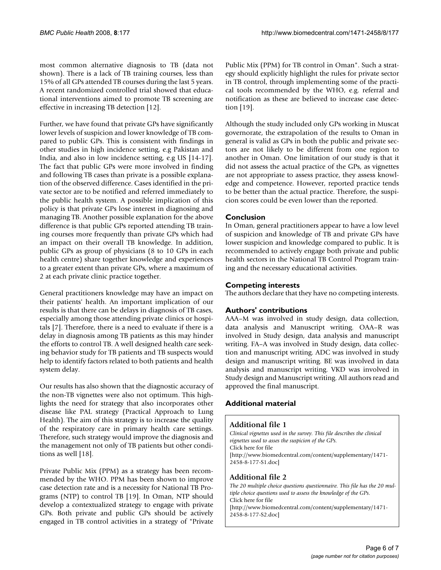most common alternative diagnosis to TB (data not shown). There is a lack of TB training courses, less than 15% of all GPs attended TB courses during the last 5 years. A recent randomized controlled trial showed that educational interventions aimed to promote TB screening are effective in increasing TB detection [12].

Further, we have found that private GPs have significantly lower levels of suspicion and lower knowledge of TB compared to public GPs. This is consistent with findings in other studies in high incidence setting, e.g Pakistan and India, and also in low incidence setting, e.g US [14-17]. The fact that public GPs were more involved in finding and following TB cases than private is a possible explanation of the observed difference. Cases identified in the private sector are to be notified and referred immediately to the public health system. A possible implication of this policy is that private GPs lose interest in diagnosing and managing TB. Another possible explanation for the above difference is that public GPs reported attending TB training courses more frequently than private GPs which had an impact on their overall TB knowledge. In addition, public GPs as group of physicians (8 to 10 GPs in each health centre) share together knowledge and experiences to a greater extent than private GPs, where a maximum of 2 at each private clinic practice together.

General practitioners knowledge may have an impact on their patients' health. An important implication of our results is that there can be delays in diagnosis of TB cases, especially among those attending private clinics or hospitals [7]. Therefore, there is a need to evaluate if there is a delay in diagnosis among TB patients as this may hinder the efforts to control TB. A well designed health care seeking behavior study for TB patients and TB suspects would help to identify factors related to both patients and health system delay.

Our results has also shown that the diagnostic accuracy of the non-TB vignettes were also not optimum. This highlights the need for strategy that also incorporates other disease like PAL strategy (Practical Approach to Lung Health). The aim of this strategy is to increase the quality of the respiratory care in primary health care settings. Therefore, such strategy would improve the diagnosis and the management not only of TB patients but other conditions as well [18].

Private Public Mix (PPM) as a strategy has been recommended by the WHO. PPM has been shown to improve case detection rate and is a necessity for National TB Programs (NTP) to control TB [19]. In Oman, NTP should develop a contextualized strategy to engage with private GPs. Both private and public GPs should be actively engaged in TB control activities in a strategy of "Private Public Mix (PPM) for TB control in Oman". Such a strategy should explicitly highlight the rules for private sector in TB control, through implementing some of the practical tools recommended by the WHO, e.g. referral and notification as these are believed to increase case detection [19].

Although the study included only GPs working in Muscat governorate, the extrapolation of the results to Oman in general is valid as GPs in both the public and private sectors are not likely to be different from one region to another in Oman. One limitation of our study is that it did not assess the actual practice of the GPs, as vignettes are not appropriate to assess practice, they assess knowledge and competence. However, reported practice tends to be better than the actual practice. Therefore, the suspicion scores could be even lower than the reported.

#### **Conclusion**

In Oman, general practitioners appear to have a low level of suspicion and knowledge of TB and private GPs have lower suspicion and knowledge compared to public. It is recommended to actively engage both private and public health sectors in the National TB Control Program training and the necessary educational activities.

#### **Competing interests**

The authors declare that they have no competing interests.

#### **Authors' contributions**

AAA–M was involved in study design, data collection, data analysis and Manuscript writing. OAA–R was involved in Study design, data analysis and manuscript writing. FA–A was involved in Study design, data collection and manuscript writing. ADC was involved in study design and manuscript writing. BE was involved in data analysis and manuscript writing. VKD was involved in Study design and Manuscript writing. All authors read and approved the final manuscript.

#### **Additional material**

#### **Additional file 1**

*Clinical vignettes used in the survey. This file describes the clinical vignettes used to asses the suspicion of the GPs.* Click here for file [\[http://www.biomedcentral.com/content/supplementary/1471-](http://www.biomedcentral.com/content/supplementary/1471-2458-8-177-S1.doc) 2458-8-177-S1.doc]

#### **Additional file 2**

*The 20 multiple choice questions questionnaire. This file has the 20 multiple choice questions used to assess the knowledge of the GPs.* Click here for file [\[http://www.biomedcentral.com/content/supplementary/1471-](http://www.biomedcentral.com/content/supplementary/1471-2458-8-177-S2.doc) 2458-8-177-S2.doc]